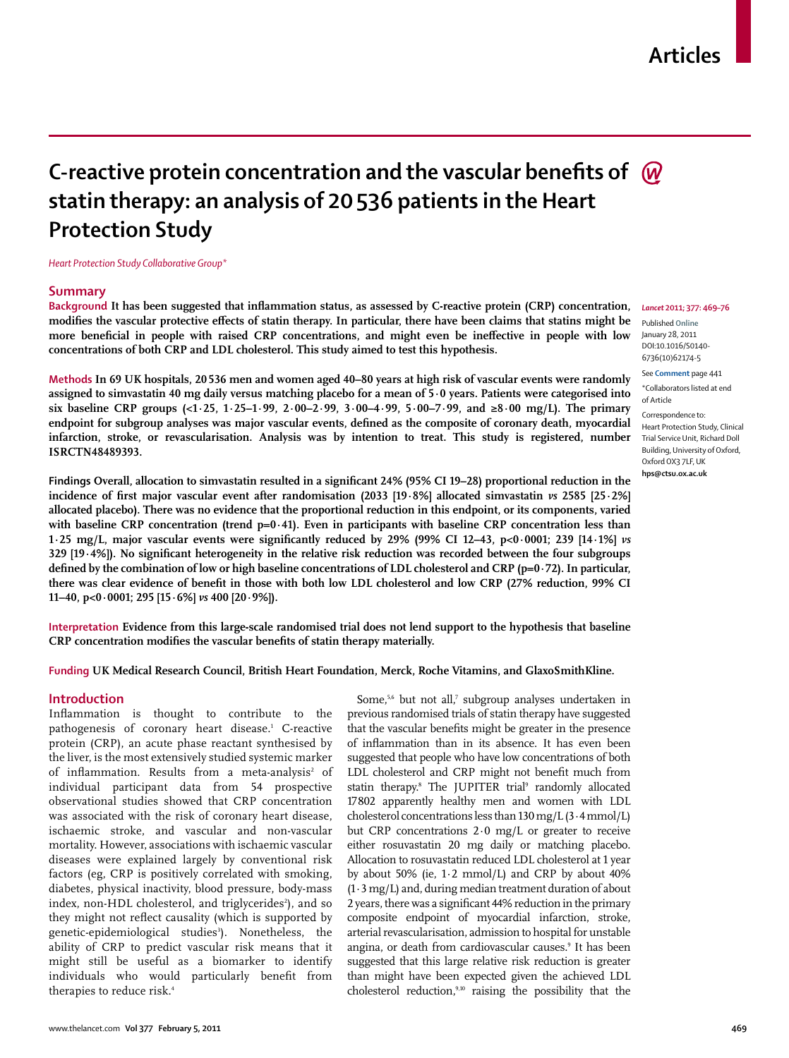# **C-reactive protein concentration and the vascular benefits of**  $\mathcal{Q}$ **statin therapy: an analysis of 20 536 patients in the Heart Protection Study**

*Heart Protection Study Collaborative Group\**

# **Summary**

Background It has been suggested that inflammation status, as assessed by C-reactive protein (CRP) concentration, modifies the vascular protective effects of statin therapy. In particular, there have been claims that statins might be more beneficial in people with raised CRP concentrations, and might even be ineffective in people with low **concentrations of both CRP and LDL cholesterol. This study aimed to test this hypothesis.** 

**Methods In 69 UK hospitals, 20 536 men and women aged 40–80 years at high risk of vascular events were randomly assigned to simvastatin 40 mg daily versus matching placebo for a mean of 5·0 years. Patients were categorised into six baseline CRP groups (<1·25, 1·25–1·99, 2·00–2·99, 3·00–4·99, 5·00–7·99, and ≥8·00 mg/L). The primary**  endpoint for subgroup analyses was major vascular events, defined as the composite of coronary death, myocardial **infarction, stroke, or revascularisation. Analysis was by intention to treat. This study is registered, number ISRCTN48489393.**

Findings Overall, allocation to simvastatin resulted in a significant 24% (95% CI 19-28) proportional reduction in the incidence of first major vascular event after randomisation (2033 [19·8%] allocated simvastatin *vs* 2585 [25·2%] **allocated placebo). There was no evidence that the proportional reduction in this endpoint, or its components, varied**  with baseline CRP concentration (trend p=0·41). Even in participants with baseline CRP concentration less than 1·25 mg/L, major vascular events were significantly reduced by 29% (99% CI 12–43, p<0·0001; 239 [14·1%] *vs* **329 [19·4%]). No significant heterogeneity in the relative risk reduction was recorded between the four subgroups** defined by the combination of low or high baseline concentrations of LDL cholesterol and CRP (p=0·72). In particular, there was clear evidence of benefit in those with both low LDL cholesterol and low CRP (27% reduction, 99% CI **11–40, p<0·0001; 295 [15·6%]** *vs* **400 [20·9%]).**

**Interpretation Evidence from this large-scale randomised trial does not lend support to the hypothesis that baseline CRP** concentration modifies the vascular benefits of statin therapy materially.

# **Funding UK Medical Research Council, British Heart Foundation, Merck, Roche Vitamins, and GlaxoSmithKline.**

## **Introduction**

Inflammation is thought to contribute to the pathogenesis of coronary heart disease.<sup>1</sup> C-reactive protein (CRP), an acute phase reactant synthesised by the liver, is the most extensively studied systemic marker of inflammation. Results from a meta-analysis<sup>2</sup> of individual participant data from 54 prospective observational studies showed that CRP concentration was associated with the risk of coronary heart disease, ischaemic stroke, and vascular and non-vascular mortality. However, associations with ischaemic vascular diseases were explained largely by conventional risk factors (eg, CRP is positively correlated with smoking, diabetes, physical inactivity, blood pressure, body-mass index, non-HDL cholesterol, and triglycerides<sup>2</sup>), and so they might not reflect causality (which is supported by genetic-epidemiological studies<sup>3</sup>). Nonetheless, the ability of CRP to predict vascular risk means that it might still be useful as a biomarker to identify individuals who would particularly benefit from therapies to reduce risk.<sup>4</sup>

Some,<sup>5,6</sup> but not all,<sup>7</sup> subgroup analyses undertaken in previous randomised trials of statin therapy have suggested that the vascular benefits might be greater in the presence of inflammation than in its absence. It has even been suggested that people who have low concentrations of both LDL cholesterol and CRP might not benefit much from statin therapy.<sup>8</sup> The JUPITER trial<sup>9</sup> randomly allocated 17 802 apparently healthy men and women with LDL cholesterol concentrations less than 130 mg/L (3·4 mmol/L) but CRP concentrations 2·0 mg/L or greater to receive either rosuvastatin 20 mg daily or matching placebo. Allocation to rosuvastatin reduced LDL cholesterol at 1 year by about 50% (ie, 1·2 mmol/L) and CRP by about 40% (1·3 mg/L) and, during median treatment duration of about 2 years, there was a significant 44% reduction in the primary composite endpoint of myocardial infarction, stroke, arterial revascularisation, admission to hospital for unstable angina, or death from cardiovascular causes.<sup>9</sup> It has been suggested that this large relative risk reduction is greater than might have been expected given the achieved LDL cholesterol reduction,9,10 raising the possibility that the

## *Lancet* **2011; 377: 469–76**

Published **Online** January 28, 2011 DOI:10.1016/S0140- 6736(10)62174-5

See **Comment** page 441

\*Collaborators listed at end of Article

Correspondence to: Heart Protection Study, Clinical Trial Service Unit, Richard Doll Building, University of Oxford, Oxford OX3 7LF, UK **hps@ctsu.ox.ac.uk**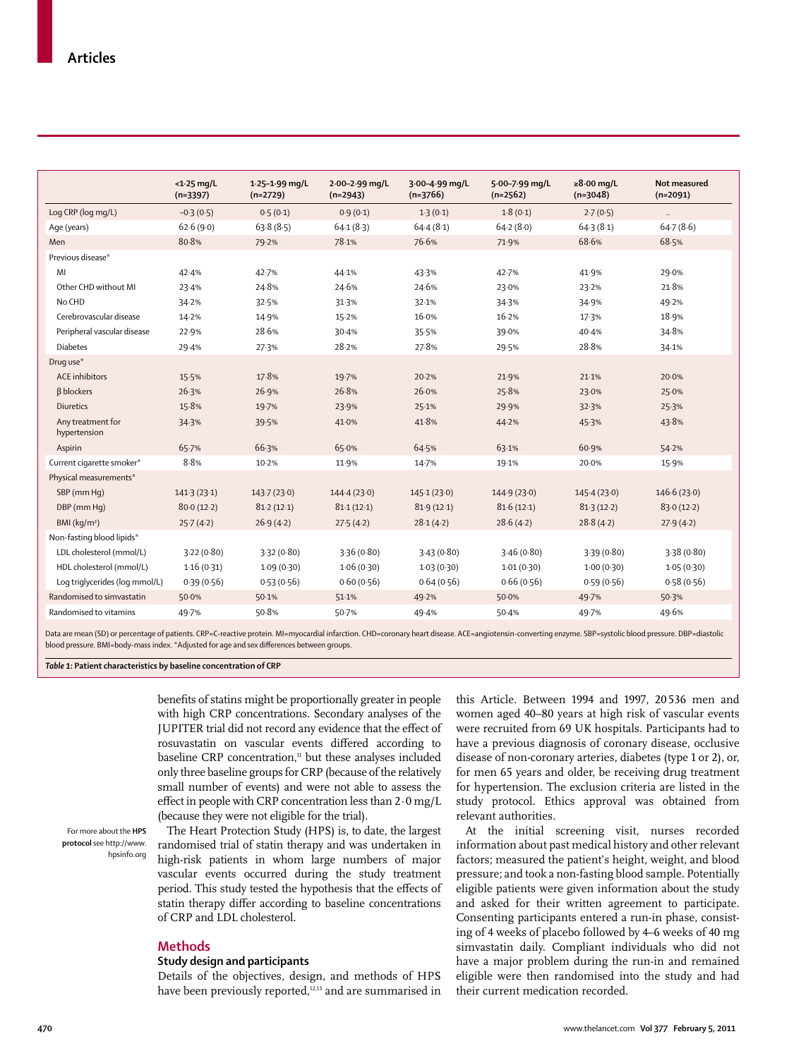|                                   | $<$ 1.25 mg/L<br>$(n=3397)$ | $1.25 - 1.99$ mg/L<br>$(n=2729)$ | 2.00-2.99 mg/L<br>$(n=2943)$ | 3.00-4.99 mg/L<br>$(n=3766)$ | 5.00-7.99 mg/L<br>$(n=2562)$ | $\geq 8.00$ mg/L<br>$(n=3048)$ | Not measured<br>$(n=2091)$ |
|-----------------------------------|-----------------------------|----------------------------------|------------------------------|------------------------------|------------------------------|--------------------------------|----------------------------|
| Log CRP (log mg/L)                | $-0.3(0.5)$                 | 0.5(0.1)                         | 0.9(0.1)                     | 1.3(0.1)                     | 1.8(0.1)                     | 2.7(0.5)                       | $\ldots$                   |
| Age (years)                       | 62.6(9.0)                   | 63.8(8.5)                        | 64.1(8.3)                    | 64.4(8.1)                    | 64.2(8.0)                    | 64.3(8.1)                      | 64.7(8.6)                  |
| Men                               | 80.8%                       | 79.2%                            | 78.1%                        | 76.6%                        | 71.9%                        | 68.6%                          | 68.5%                      |
| Previous disease*                 |                             |                                  |                              |                              |                              |                                |                            |
| MI                                | 42.4%                       | 42.7%                            | 44.1%                        | 43.3%                        | 42.7%                        | 41.9%                          | 29.0%                      |
| Other CHD without MI              | 23.4%                       | 24.8%                            | 24.6%                        | 24.6%                        | 23.0%                        | 23.2%                          | 21.8%                      |
| No CHD                            | 34.2%                       | 32.5%                            | 31.3%                        | 32.1%                        | 34.3%                        | 34.9%                          | 49.2%                      |
| Cerebrovascular disease           | 14.2%                       | 14.9%                            | 15.2%                        | 16.0%                        | 16.2%                        | 17.3%                          | 18.9%                      |
| Peripheral vascular disease       | 22.9%                       | 28.6%                            | 30.4%                        | 35.5%                        | 39.0%                        | 40.4%                          | 34.8%                      |
| <b>Diabetes</b>                   | 29.4%                       | 27.3%                            | 28.2%                        | 27.8%                        | 29.5%                        | 28.8%                          | 34.1%                      |
| Drug use*                         |                             |                                  |                              |                              |                              |                                |                            |
| <b>ACE</b> inhibitors             | 15.5%                       | 17.8%                            | 19.7%                        | 20.2%                        | 21.9%                        | 21.1%                          | 20.0%                      |
| <b>B</b> blockers                 | 26.3%                       | 26.9%                            | 26.8%                        | 26.0%                        | 25.8%                        | 23.0%                          | 25.0%                      |
| <b>Diuretics</b>                  | 15.8%                       | 19.7%                            | 23.9%                        | 25.1%                        | 29.9%                        | 32.3%                          | 25.3%                      |
| Any treatment for<br>hypertension | 34.3%                       | 39.5%                            | 41.0%                        | 41.8%                        | 44.2%                        | 45.3%                          | 43.8%                      |
| Aspirin                           | 65.7%                       | 66.3%                            | 65.0%                        | 64.5%                        | 63.1%                        | 60.9%                          | 54.2%                      |
| Current cigarette smoker*         | 8.8%                        | $10-2%$                          | 11.9%                        | 14.7%                        | 19.1%                        | 20.0%                          | 15.9%                      |
| Physical measurements*            |                             |                                  |                              |                              |                              |                                |                            |
| SBP (mm Hq)                       | 141.3(23.1)                 | 143.7(23.0)                      | 144.4(23.0)                  | 145.1(23.0)                  | 144.9(23.0)                  | 145.4(23.0)                    | 146.6(23.0)                |
| DBP (mm Hq)                       | 80.0(12.2)                  | 81.2(12.1)                       | 81.1(12.1)                   | 81.9(12.1)                   | 81.6(12.1)                   | 81.3(12.2)                     | 83.0(12.2)                 |
| BMI ( $kg/m2$ )                   | 25.7(4.2)                   | 26.9(4.2)                        | 27.5(4.2)                    | 28.1(4.2)                    | 28.6(4.2)                    | 28.8(4.2)                      | 27.9(4.2)                  |
| Non-fasting blood lipids*         |                             |                                  |                              |                              |                              |                                |                            |
| LDL cholesterol (mmol/L)          | 3.22(0.80)                  | 3.32(0.80)                       | 3.36(0.80)                   | 3.43(0.80)                   | 3.46(0.80)                   | 3.39(0.80)                     | 3.38(0.80)                 |
| HDL cholesterol (mmol/L)          | 1.16(0.31)                  | 1.09(0.30)                       | 1.06(0.30)                   | 1.03(0.30)                   | 1.01(0.30)                   | 1.00(0.30)                     | 1.05(0.30)                 |
| Log triglycerides (log mmol/L)    | 0.39(0.56)                  | 0.53(0.56)                       | 0.60(0.56)                   | 0.64(0.56)                   | 0.66(0.56)                   | 0.59(0.56)                     | 0.58(0.56)                 |
| Randomised to simvastatin         | 50.0%                       | 50.1%                            | 51.1%                        | 49.2%                        | 50.0%                        | 49.7%                          | 50.3%                      |
| Randomised to vitamins            | 49.7%                       | 50.8%                            | 50.7%                        | 49.4%                        | 50.4%                        | 49.7%                          | 49.6%                      |
|                                   |                             |                                  |                              |                              |                              |                                |                            |

Data are mean (SD) or percentage of patients. CRP=C-reactive protein. MI=myocardial infarction. CHD=coronary heart disease. ACE=angiotensin-converting enzyme. SBP=systolic blood pressure. DBP=diastolic blood pressure. BMI=body-mass index. \*Adjusted for age and sex differences between groups.

*Table 1***: Patient characteristics by baseline concentration of CRP**

benefits of statins might be proportionally greater in people with high CRP concentrations. Secondary analyses of the JUPITER trial did not record any evidence that the effect of rosuvastatin on vascular events differed according to baseline CRP concentration, $11$  but these analyses included only three baseline groups for CRP (because of the relatively small number of events) and were not able to assess the effect in people with CRP concentration less than  $2.0 \text{ mg/L}$ (because they were not eligible for the trial).

For more about the **HPS protocol** see http://www. hpsinfo.org

The Heart Protection Study (HPS) is, to date, the largest randomised trial of statin therapy and was undertaken in high-risk patients in whom large numbers of major vascular events occurred during the study treatment period. This study tested the hypothesis that the effects of statin therapy differ according to baseline concentrations of CRP and LDL cholesterol.

# **Methods**

#### **Study design and participants**

Details of the objectives, design, and methods of HPS have been previously reported,<sup>12,13</sup> and are summarised in this Article. Between 1994 and 1997, 20 536 men and women aged 40–80 years at high risk of vascular events were recruited from 69 UK hospitals. Participants had to have a previous diagnosis of coronary disease, occlusive disease of non-coronary arteries, diabetes (type 1 or 2), or, for men 65 years and older, be receiving drug treatment for hypertension. The exclusion criteria are listed in the study protocol. Ethics approval was obtained from relevant authorities.

At the initial screening visit, nurses recorded information about past medical history and other relevant factors; measured the patient's height, weight, and blood pressure; and took a non-fasting blood sample. Potentially eligible patients were given information about the study and asked for their written agreement to participate. Consenting participants entered a run-in phase, consisting of 4 weeks of placebo followed by 4–6 weeks of 40 mg simvastatin daily. Compliant individuals who did not have a major problem during the run-in and remained eligible were then randomised into the study and had their current medication recorded.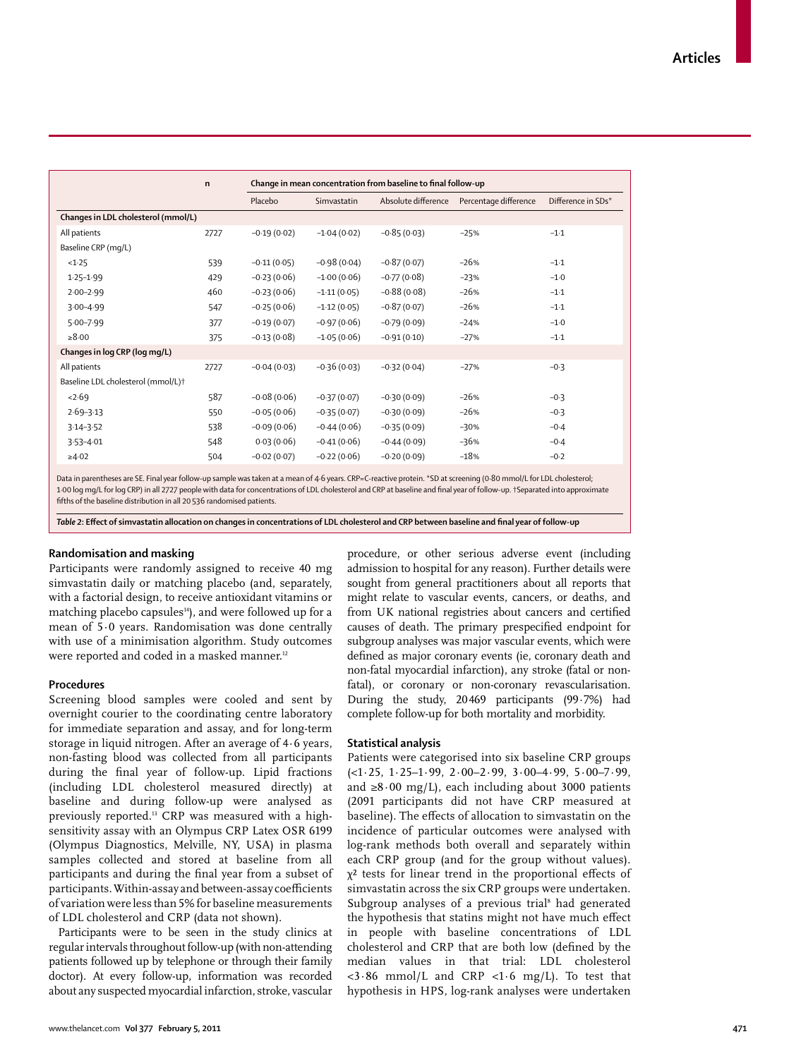|                                                | n    | Change in mean concentration from baseline to final follow-up |               |               |                                           |                    |  |
|------------------------------------------------|------|---------------------------------------------------------------|---------------|---------------|-------------------------------------------|--------------------|--|
|                                                |      | Placebo                                                       | Simvastatin   |               | Absolute difference Percentage difference | Difference in SDs* |  |
| Changes in LDL cholesterol (mmol/L)            |      |                                                               |               |               |                                           |                    |  |
| All patients                                   | 2727 | $-0.19(0.02)$                                                 | $-1.04(0.02)$ | $-0.85(0.03)$ | $-25%$                                    | $-1.1$             |  |
| Baseline CRP (mg/L)                            |      |                                                               |               |               |                                           |                    |  |
| <1.25                                          | 539  | $-0.11(0.05)$                                                 | $-0.98(0.04)$ | $-0.87(0.07)$ | $-26%$                                    | $-1.1$             |  |
| $1.25 - 1.99$                                  | 429  | $-0.23(0.06)$                                                 | $-1.00(0.06)$ | $-0.77(0.08)$ | $-23%$                                    | $-1.0$             |  |
| $2.00 - 2.99$                                  | 460  | $-0.23(0.06)$                                                 | $-1.11(0.05)$ | $-0.88(0.08)$ | $-26%$                                    | $-1.1$             |  |
| $3.00 - 4.99$                                  | 547  | $-0.25(0.06)$                                                 | $-1.12(0.05)$ | $-0.87(0.07)$ | $-26%$                                    | $-1.1$             |  |
| $5.00 - 7.99$                                  | 377  | $-0.19(0.07)$                                                 | $-0.97(0.06)$ | $-0.79(0.09)$ | $-24%$                                    | $-1.0$             |  |
| $\geq 8.00$                                    | 375  | $-0.13(0.08)$                                                 | $-1.05(0.06)$ | $-0.91(0.10)$ | $-27%$                                    | $-1.1$             |  |
| Changes in log CRP (log mg/L)                  |      |                                                               |               |               |                                           |                    |  |
| All patients                                   | 2727 | $-0.04(0.03)$                                                 | $-0.36(0.03)$ | $-0.32(0.04)$ | $-27%$                                    | $-0.3$             |  |
| Baseline LDL cholesterol (mmol/L) <sup>+</sup> |      |                                                               |               |               |                                           |                    |  |
| 2.69                                           | 587  | $-0.08(0.06)$                                                 | $-0.37(0.07)$ | $-0.30(0.09)$ | $-26%$                                    | $-0.3$             |  |
| $2.69 - 3.13$                                  | 550  | $-0.05(0.06)$                                                 | $-0.35(0.07)$ | $-0.30(0.09)$ | $-26%$                                    | $-0.3$             |  |
| $3.14 - 3.52$                                  | 538  | $-0.09(0.06)$                                                 | $-0.44(0.06)$ | $-0.35(0.09)$ | $-30%$                                    | $-0.4$             |  |
| $3.53 - 4.01$                                  | 548  | 0.03(0.06)                                                    | $-0.41(0.06)$ | $-0.44(0.09)$ | $-36%$                                    | $-0.4$             |  |
| $\geq 4.02$                                    | 504  | $-0.02(0.07)$                                                 | $-0.22(0.06)$ | $-0.20(0.09)$ | $-18%$                                    | $-0.2$             |  |

ample was taken at a mean of 4·6 years. CRP=C-reactive protein. \*SD at screening (0·80 mmol/L for LDL cholestero 1-00 log mg/L for log CRP) in all 2727 people with data for concentrations of LDL cholesterol and CRP at baseline and final year of follow-up. †Separated into approximate fifths of the baseline distribution in all 20 536 randomised patients.

Table 2: Effect of simvastatin allocation on changes in concentrations of LDL cholesterol and CRP between baseline and final year of follow-up

## **Randomisation and masking**

Participants were randomly assigned to receive 40 mg simvastatin daily or matching placebo (and, separately, with a factorial design, to receive antioxidant vitamins or matching placebo capsules<sup>14</sup>), and were followed up for a mean of 5·0 years. Randomisation was done centrally with use of a minimisation algorithm. Study outcomes were reported and coded in a masked manner.<sup>12</sup>

# **Procedures**

Screening blood samples were cooled and sent by overnight courier to the coordinating centre laboratory for immediate separation and assay, and for long-term storage in liquid nitrogen. After an average of 4·6 years, non-fasting blood was collected from all participants during the final year of follow-up. Lipid fractions (including LDL cholesterol measured directly) at baseline and during follow-up were analysed as previously reported.13 CRP was measured with a highsensitivity assay with an Olympus CRP Latex OSR 6199 (Olympus Diagnostics, Melville, NY, USA) in plasma samples collected and stored at baseline from all participants and during the final year from a subset of participants. Within-assay and between-assay coefficients of variation were less than 5% for baseline measurements of LDL cholesterol and CRP (data not shown).

Participants were to be seen in the study clinics at regular intervals throughout follow-up (with non-attending patients followed up by telephone or through their family doctor). At every follow-up, information was recorded about any suspected myocardial infarction, stroke, vascular procedure, or other serious adverse event (including admission to hospital for any reason). Further details were sought from general practitioners about all reports that might relate to vascular events, cancers, or deaths, and from UK national registries about cancers and certified causes of death. The primary prespecified endpoint for subgroup analyses was major vascular events, which were defined as major coronary events (ie, coronary death and non-fatal myocardial infarction), any stroke (fatal or nonfatal), or coronary or non-coronary revascularisation. During the study, 20 469 participants (99·7%) had complete follow-up for both mortality and morbidity.

#### **Statistical analysis**

Patients were categorised into six baseline CRP groups (<1·25, 1·25–1·99, 2·00–2·99, 3·00–4·99, 5·00–7·99, and  $\geq 8.00$  mg/L), each including about 3000 patients (2091 participants did not have CRP measured at baseline). The effects of allocation to simvastatin on the incidence of particular outcomes were analysed with log-rank methods both overall and separately within each CRP group (and for the group without values).  $x^2$  tests for linear trend in the proportional effects of simvastatin across the six CRP groups were undertaken. Subgroup analyses of a previous trial<sup>8</sup> had generated the hypothesis that statins might not have much effect in people with baseline concentrations of LDL cholesterol and CRP that are both low (defined by the median values in that trial: LDL cholesterol  $<$ 3.86 mmol/L and CRP  $<$ 1.6 mg/L). To test that hypothesis in HPS, log-rank analyses were undertaken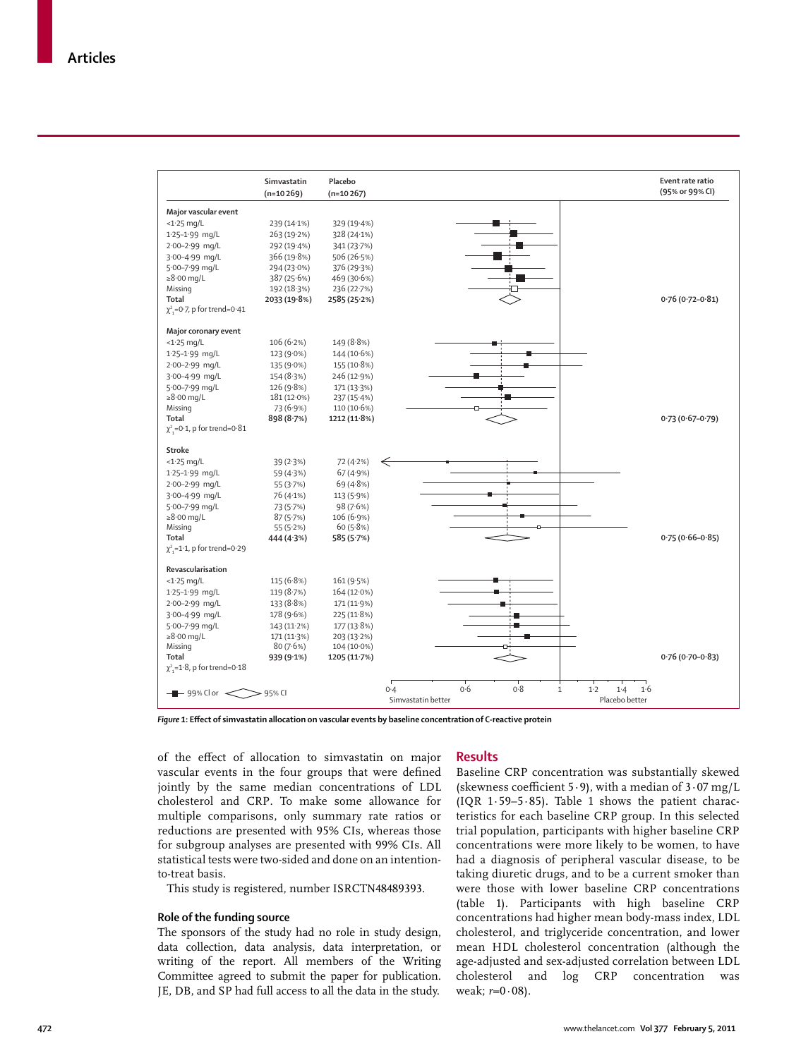|                                              | Simvastatin   | Placebo       |                                                     | Event rate ratio<br>(95% or 99% CI) |
|----------------------------------------------|---------------|---------------|-----------------------------------------------------|-------------------------------------|
|                                              | $(n=10269)$   | $(n=10267)$   |                                                     |                                     |
| Major vascular event                         |               |               |                                                     |                                     |
| $<$ 1.25 mg/L                                | 239 (14.1%)   | 329 (19.4%)   |                                                     |                                     |
| $1.25 - 1.99$ mg/L                           | 263(19.2%)    | 328(24.1%)    |                                                     |                                     |
| $2.00 - 2.99$ mg/L                           | 292 (19.4%)   | 341 (23.7%)   |                                                     |                                     |
| 3.00-4.99 mg/L                               | 366 (19.8%)   | 506 (26.5%)   |                                                     |                                     |
| 5.00-7.99 mg/L                               | 294 (23.0%)   | 376 (29.3%)   |                                                     |                                     |
| $\geq 8.00$ mg/L                             | 387 (25.6%)   | 469 (30.6%)   |                                                     |                                     |
| Missing                                      | 192 (18.3%)   | 236 (22.7%)   |                                                     |                                     |
| <b>Total</b>                                 | 2033 (19·8%)  | 2585 (25.2%)  |                                                     | $0.76(0.72 - 0.81)$                 |
| $\chi^2$ =0.7, p for trend=0.41              |               |               |                                                     |                                     |
| Major coronary event                         |               |               |                                                     |                                     |
| $<$ 1.25 mg/L                                | $106(6.2\%)$  | 149(8.8%)     |                                                     |                                     |
| $1.25 - 1.99$ mg/L                           | $123(9.0\%)$  | 144(10.6%)    |                                                     |                                     |
| $2.00 - 2.99$ mg/L                           | $135(9.0\%)$  | 155(10.8%)    |                                                     |                                     |
| 3.00-4.99 mg/L                               | 154(8.3%)     | 246(12.9%)    |                                                     |                                     |
| 5.00-7.99 mq/L                               | 126(9.8%)     | 171 (13.3%)   |                                                     |                                     |
| $\geq 8.00$ mg/L                             | $181(12.0\%)$ | 237 (15.4%)   |                                                     |                                     |
| Missing                                      | 73 (6.9%)     | $110(10.6\%)$ |                                                     |                                     |
| Total                                        | 898 (8.7%)    | 1212 (11.8%)  |                                                     | $0.73(0.67 - 0.79)$                 |
| $\chi^2$ =0.1, p for trend=0.81              |               |               |                                                     |                                     |
| <b>Stroke</b>                                |               |               |                                                     |                                     |
| $<$ 1.25 mg/L                                | 39(2.3%)      | 72 (4.2%)     |                                                     |                                     |
| $1.25 - 1.99$ mg/L                           | 59 (4.3%)     | 67(4.9%)      |                                                     |                                     |
| 2.00-2.99 mg/L                               | 55 (3.7%)     | 69 (4.8%)     |                                                     |                                     |
| 3.00-4.99 mg/L                               | 76 (4.1%)     | 113(5.9%)     |                                                     |                                     |
| 5.00-7.99 mq/L                               | 73 (5.7%)     | 98 (7.6%)     |                                                     |                                     |
| $\geq 8.00$ mg/L                             | 87(5.7%)      | 106(6.9%)     |                                                     |                                     |
| Missing                                      | 55 $(5.2%)$   | 60(5.8%)      |                                                     |                                     |
| Total                                        | 444 (4.3%)    | 585 (5.7%)    |                                                     | $0.75(0.66 - 0.85)$                 |
| $\chi^2$ =1.1, p for trend=0.29              |               |               |                                                     |                                     |
| Revascularisation                            |               |               |                                                     |                                     |
| $<$ 1.25 mg/L                                | $115(6.8\%)$  | 161(9.5%)     |                                                     |                                     |
| $1.25 - 1.99$ mg/L                           | 119 (8.7%)    | 164 (12.0%)   |                                                     |                                     |
| 2.00-2.99 mg/L                               | 133(8.8%)     | 171(11.9%)    |                                                     |                                     |
| 3.00-4.99 mg/L                               | 178(9.6%)     | 225(11.8%)    |                                                     |                                     |
| 5.00-7.99 mg/L                               | 143(11.2%)    | 177(13.8%)    |                                                     |                                     |
| $\geq 8.00$ mg/L                             | 171(11.3%)    | 203 (13.2%)   |                                                     |                                     |
| Missing                                      | 80(7.6%)      | $104(10.0\%)$ |                                                     |                                     |
| Total                                        | 939(9.1%)     | 1205(11.7%)   |                                                     | $0.76(0.70-0.83)$                   |
| $\chi^2$ <sub>,</sub> =1.8, p for trend=0.18 |               |               |                                                     |                                     |
|                                              |               |               |                                                     |                                     |
|                                              |               |               | 0.6<br>0.8<br>0.4<br>$\,1\,$<br>$1·2$<br>1.4<br>1·6 |                                     |
| $-$ 99% Cl or $\sim$                         | - 95% CI      |               | Simvastatin better<br>Placebo better                |                                     |

*Figure 1***: Eff ect of simvastatin allocation on vascular events by baseline concentration of C-reactive protein**

of the effect of allocation to simvastatin on major vascular events in the four groups that were defined jointly by the same median concentrations of LDL cholesterol and CRP. To make some allowance for multiple comparisons, only summary rate ratios or reductions are presented with 95% CIs, whereas those for subgroup analyses are presented with 99% CIs. All statistical tests were two-sided and done on an intentionto-treat basis.

This study is registered, number ISRCTN48489393.

#### **Role of the funding source**

The sponsors of the study had no role in study design, data collection, data analysis, data interpretation, or writing of the report. All members of the Writing Committee agreed to submit the paper for publication. JE, DB, and SP had full access to all the data in the study.

## **Results**

Baseline CRP concentration was substantially skewed (skewness coefficient  $5.9$ ), with a median of  $3.07$  mg/L (IQR 1·59–5·85). Table 1 shows the patient characteristics for each baseline CRP group. In this selected trial population, participants with higher baseline CRP concentrations were more likely to be women, to have had a diagnosis of peripheral vascular disease, to be taking diuretic drugs, and to be a current smoker than were those with lower baseline CRP concentrations (table 1). Participants with high baseline CRP concentrations had higher mean body-mass index, LDL cholesterol, and triglyceride concentration, and lower mean HDL cholesterol concentration (although the age-adjusted and sex-adjusted correlation between LDL cholesterol and log CRP concentration was weak; *r*=0·08).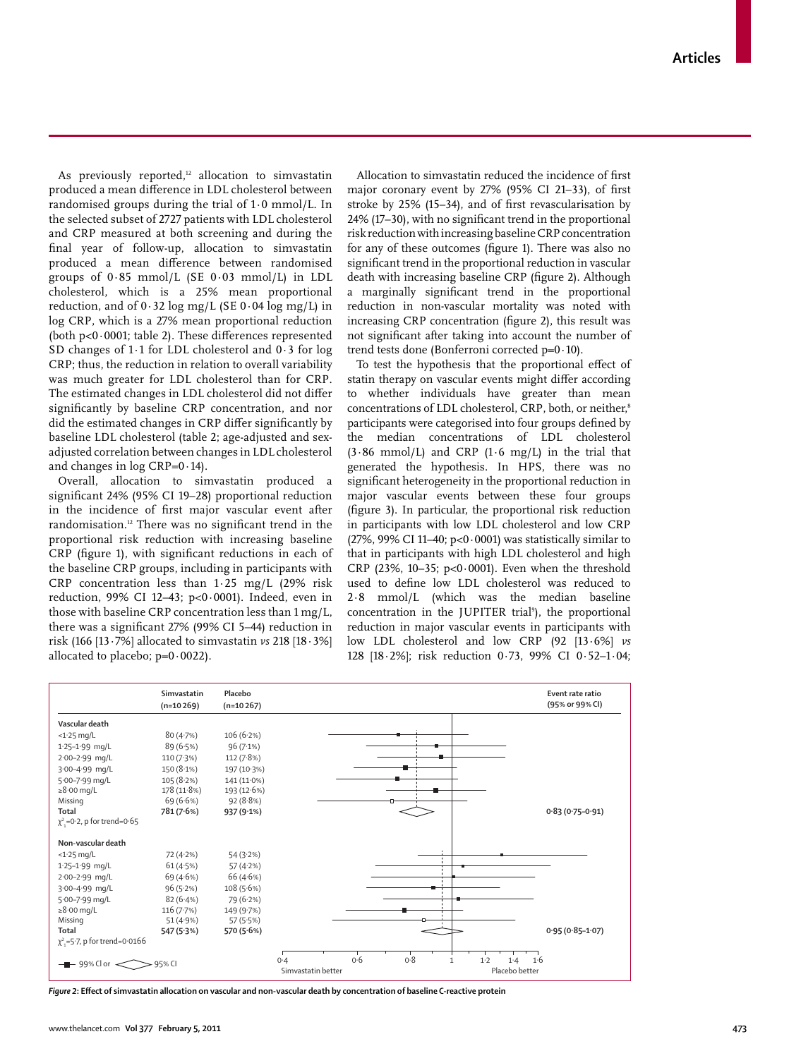As previously reported, $12$  allocation to simvastatin produced a mean difference in LDL cholesterol between randomised groups during the trial of 1·0 mmol/L. In the selected subset of 2727 patients with LDL cholesterol and CRP measured at both screening and during the final year of follow-up, allocation to simvastatin produced a mean difference between randomised groups of 0·85 mmol/L (SE 0·03 mmol/L) in LDL cholesterol, which is a 25% mean proportional reduction, and of  $0.32 \log \frac{mg}{L}$  (SE  $0.04 \log \frac{mg}{L}$ ) in log CRP, which is a 27% mean proportional reduction (both  $p<0.0001$ ; table 2). These differences represented SD changes of 1·1 for LDL cholesterol and 0·3 for log CRP; thus, the reduction in relation to overall variability was much greater for LDL cholesterol than for CRP. The estimated changes in LDL cholesterol did not differ significantly by baseline CRP concentration, and nor did the estimated changes in CRP differ significantly by baseline LDL cholesterol (table 2; age-adjusted and sexadjusted correlation between changes in LDL cholesterol and changes in log CRP=0·14).

Overall, allocation to simvastatin produced a significant 24% (95% CI 19-28) proportional reduction in the incidence of first major vascular event after randomisation.<sup>12</sup> There was no significant trend in the proportional risk reduction with increasing baseline CRP (figure 1), with significant reductions in each of the baseline CRP groups, including in participants with CRP concentration less than 1·25 mg/L (29% risk reduction, 99% CI 12–43; p<0·0001). Indeed, even in those with baseline CRP concentration less than 1 mg/L, there was a significant 27% (99% CI 5-44) reduction in risk (166 [13·7%] allocated to simvastatin *vs* 218 [18·3%] allocated to placebo;  $p=0.0022$ ).

Allocation to simvastatin reduced the incidence of first major coronary event by  $27\%$  (95% CI 21-33), of first stroke by 25% (15–34), and of first revascularisation by  $24\%$  (17–30), with no significant trend in the proportional risk reduction with increasing baseline CRP concentration for any of these outcomes (figure 1). There was also no significant trend in the proportional reduction in vascular death with increasing baseline CRP (figure 2). Although a marginally significant trend in the proportional reduction in non-vascular mortality was noted with increasing CRP concentration (figure 2), this result was not significant after taking into account the number of trend tests done (Bonferroni corrected p=0·10).

To test the hypothesis that the proportional effect of statin therapy on vascular events might differ according to whether individuals have greater than mean concentrations of LDL cholesterol, CRP, both, or neither,<sup>8</sup> participants were categorised into four groups defined by the median concentrations of LDL cholesterol  $(3.86 \text{ mmol/L})$  and CRP  $(1.6 \text{ mg/L})$  in the trial that generated the hypothesis. In HPS, there was no significant heterogeneity in the proportional reduction in major vascular events between these four groups (figure 3). In particular, the proportional risk reduction in participants with low LDL cholesterol and low CRP (27%, 99% CI 11–40;  $p<0.0001$ ) was statistically similar to that in participants with high LDL cholesterol and high CRP (23%, 10-35; p<0 $0.0001$ ). Even when the threshold used to define low LDL cholesterol was reduced to 2·8 mmol/L (which was the median baseline concentration in the JUPITER trial<sup>9</sup>), the proportional reduction in major vascular events in participants with low LDL cholesterol and low CRP (92 [13·6%] *vs* 128 [18·2%]; risk reduction 0·73, 99% CI 0·52–1·04;



Figure 2: Effect of simvastatin allocation on vascular and non-vascular death by concentration of baseline C-reactive protein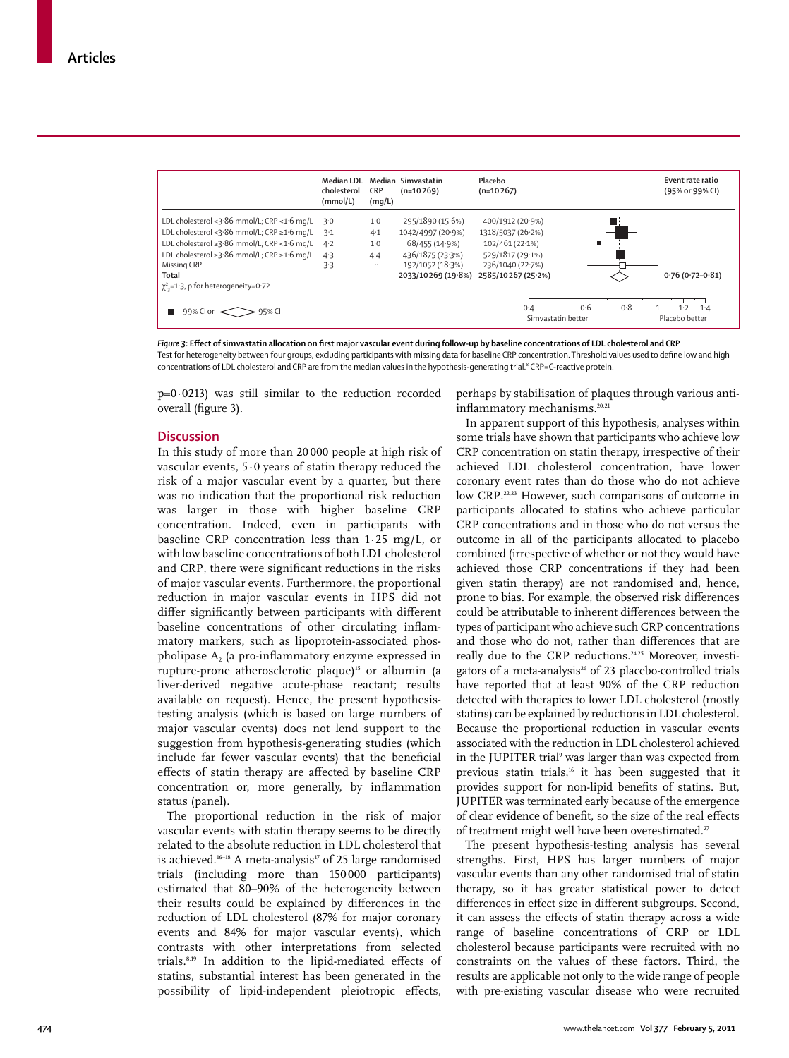|                                             | Median LDL<br>cholesterol<br>(mmol/L) | <b>CRP</b><br>(mq/L) | Median Simvastatin<br>$(n=10269)$ | Placebo<br>$(n=10267)$           | Event rate ratio<br>(95% or 99% CI) |
|---------------------------------------------|---------------------------------------|----------------------|-----------------------------------|----------------------------------|-------------------------------------|
| LDL cholesterol <3.86 mmol/L; CRP <1.6 mg/L | 3.0                                   | 1.0                  | 295/1890 (15.6%)                  | 400/1912 (20.9%)                 |                                     |
| LDL cholesterol <3.86 mmol/L; CRP ≥1.6 mg/L | $-3.1$                                | $4-1$                | 1042/4997 (20.9%)                 | 1318/5037 (26.2%)                |                                     |
| LDL cholesterol ≥3.86 mmol/L; CRP <1.6 mg/L | $4-2$                                 | 1.0                  | 68/455 (14.9%)                    | 102/461 (22.1%)                  |                                     |
| LDL cholesterol ≥3.86 mmol/L; CRP ≥1.6 mg/L | 4.3                                   | 4.4                  | 436/1875 (23.3%)                  | 529/1817 (29.1%)                 |                                     |
| Missing CRP                                 | 3.3                                   | $\ddotsc$            | 192/1052 (18.3%)                  | 236/1040 (22.7%)                 |                                     |
| Total                                       |                                       |                      | 2033/10269 (19.8%)                | 2585/10267 (25.2%)               | $0.76(0.72 - 0.81)$                 |
| $\chi^2$ = 1.3, p for heterogeneity=0.72    |                                       |                      |                                   |                                  |                                     |
| $-$ 99% Cl or $\rightarrow$<br>95% CI       |                                       |                      |                                   | 0.6<br>0.4<br>Simvastatin better | 0.8<br>1.4<br>1.7<br>Placebo better |

*Figure 3***: Eff ect of simvastatin allocation on fi rst major vascular event during follow-up by baseline concentrations of LDL cholesterol and CRP** Test for heterogeneity between four groups, excluding participants with missing data for baseline CRP concentration. Threshold values used to define low and high concentrations of LDL cholesterol and CRP are from the median values in the hypothesis-generating trial.® CRP=C-reactive protein.

 $p=0.0213$ ) was still similar to the reduction recorded overall (figure 3).

## **Discussion**

In this study of more than 20 000 people at high risk of vascular events, 5·0 years of statin therapy reduced the risk of a major vascular event by a quarter, but there was no indication that the proportional risk reduction was larger in those with higher baseline CRP concentration. Indeed, even in participants with baseline CRP concentration less than 1·25 mg/L, or with low baseline concentrations of both LDL cholesterol and CRP, there were significant reductions in the risks of major vascular events. Furthermore, the proportional reduction in major vascular events in HPS did not differ significantly between participants with different baseline concentrations of other circulating inflammatory markers, such as lipoprotein-associated phospholipase  $A<sub>2</sub>$  (a pro-inflammatory enzyme expressed in rupture-prone atherosclerotic plaque)<sup>15</sup> or albumin (a liver-derived negative acute-phase reactant; results available on request). Hence, the present hypothesistesting analysis (which is based on large numbers of major vascular events) does not lend support to the suggestion from hypothesis-generating studies (which include far fewer vascular events) that the beneficial effects of statin therapy are affected by baseline CRP concentration or, more generally, by inflammation status (panel).

The proportional reduction in the risk of major vascular events with statin therapy seems to be directly related to the absolute reduction in LDL cholesterol that is achieved.<sup>16-18</sup> A meta-analysis<sup>17</sup> of 25 large randomised trials (including more than 150 000 participants) estimated that 80–90% of the heterogeneity between their results could be explained by differences in the reduction of LDL cholesterol (87% for major coronary events and 84% for major vascular events), which contrasts with other interpretations from selected trials.<sup>8,19</sup> In addition to the lipid-mediated effects of statins, substantial interest has been generated in the possibility of lipid-independent pleiotropic effects,

perhaps by stabilisation of plaques through various antiinflammatory mechanisms.<sup>20,21</sup>

In apparent support of this hypothesis, analyses within some trials have shown that participants who achieve low CRP concentration on statin therapy, irrespective of their achieved LDL cholesterol concentration, have lower coronary event rates than do those who do not achieve low CRP.<sup>22,23</sup> However, such comparisons of outcome in participants allocated to statins who achieve particular CRP concentrations and in those who do not versus the outcome in all of the participants allocated to placebo combined (irrespective of whether or not they would have achieved those CRP concentrations if they had been given statin therapy) are not randomised and, hence, prone to bias. For example, the observed risk differences could be attributable to inherent differences between the types of participant who achieve such CRP concentrations and those who do not, rather than differences that are really due to the CRP reductions.24,25 Moreover, investigators of a meta-analysis<sup>26</sup> of 23 placebo-controlled trials have reported that at least 90% of the CRP reduction detected with therapies to lower LDL cholesterol (mostly statins) can be explained by reductions in LDL cholesterol. Because the proportional reduction in vascular events associated with the reduction in LDL cholesterol achieved in the JUPITER trial<sup>9</sup> was larger than was expected from previous statin trials,16 it has been suggested that it provides support for non-lipid benefits of statins. But, JUPITER was terminated early because of the emergence of clear evidence of benefit, so the size of the real effects of treatment might well have been overestimated.<sup>27</sup>

The present hypothesis-testing analysis has several strengths. First, HPS has larger numbers of major vascular events than any other randomised trial of statin therapy, so it has greater statistical power to detect differences in effect size in different subgroups. Second, it can assess the effects of statin therapy across a wide range of baseline concentrations of CRP or LDL cholesterol because participants were recruited with no constraints on the values of these factors. Third, the results are applicable not only to the wide range of people with pre-existing vascular disease who were recruited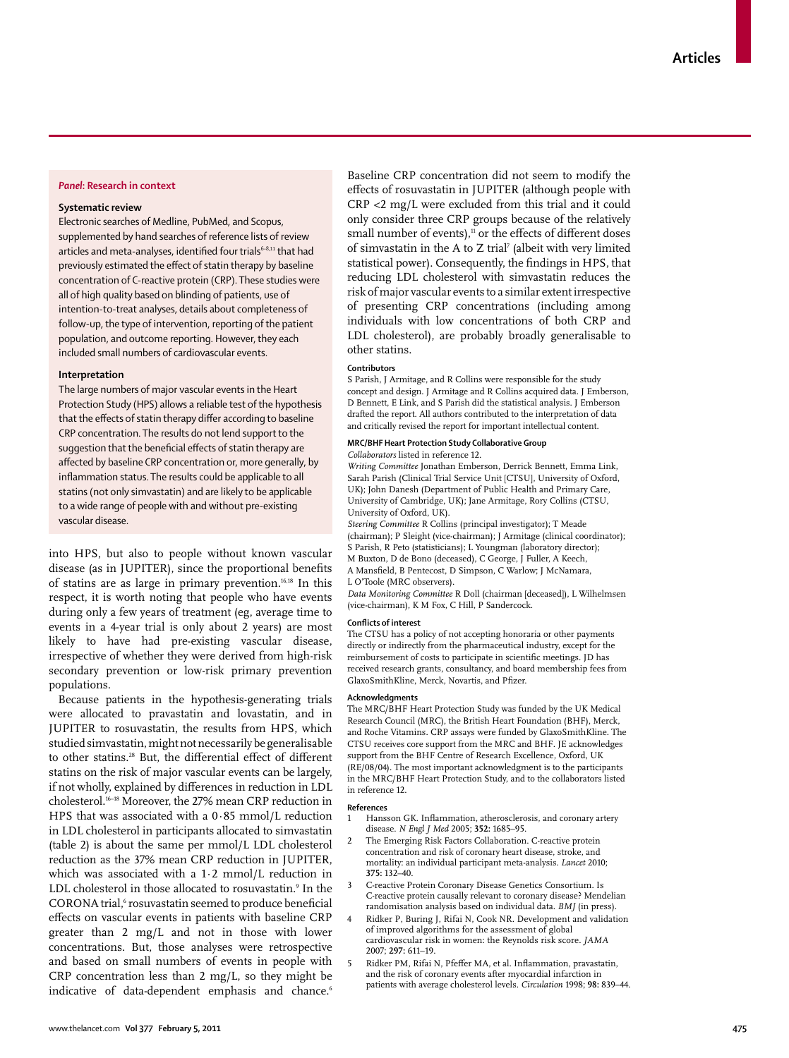#### *Panel***: Research in context**

#### **Systematic review**

Electronic searches of Medline, PubMed, and Scopus, supplemented by hand searches of reference lists of review articles and meta-analyses, identified four trials<sup>6-8,11</sup> that had previously estimated the effect of statin therapy by baseline concentration of C-reactive protein (CRP). These studies were all of high quality based on blinding of patients, use of intention-to-treat analyses, details about completeness of follow-up, the type of intervention, reporting of the patient population, and outcome reporting. However, they each included small numbers of cardiovascular events.

#### **Interpretation**

The large numbers of major vascular events in the Heart Protection Study (HPS) allows a reliable test of the hypothesis that the effects of statin therapy differ according to baseline CRP concentration. The results do not lend support to the suggestion that the beneficial effects of statin therapy are affected by baseline CRP concentration or, more generally, by inflammation status. The results could be applicable to all statins (not only simvastatin) and are likely to be applicable to a wide range of people with and without pre-existing vascular disease.

into HPS, but also to people without known vascular disease (as in JUPITER), since the proportional benefits of statins are as large in primary prevention.<sup>16,18</sup> In this respect, it is worth noting that people who have events during only a few years of treatment (eg, average time to events in a 4-year trial is only about 2 years) are most likely to have had pre-existing vascular disease, irrespective of whether they were derived from high-risk secondary prevention or low-risk primary prevention populations.

Because patients in the hypothesis-generating trials were allocated to pravastatin and lovastatin, and in JUPITER to rosuvastatin, the results from HPS, which studied simvastatin, might not necessarily be generalisable to other statins.<sup>28</sup> But, the differential effect of different statins on the risk of major vascular events can be largely, if not wholly, explained by differences in reduction in LDL cholesterol.16–18 Moreover, the 27% mean CRP reduction in HPS that was associated with a 0·85 mmol/L reduction in LDL cholesterol in participants allocated to simvastatin (table 2) is about the same per mmol/L LDL cholesterol reduction as the 37% mean CRP reduction in JUPITER, which was associated with a 1·2 mmol/L reduction in LDL cholesterol in those allocated to rosuvastatin.9 In the CORONA trial,6 rosuvastatin seemed to produce beneficial effects on vascular events in patients with baseline CRP greater than 2 mg/L and not in those with lower concentrations. But, those analyses were retrospective and based on small numbers of events in people with CRP concentration less than 2 mg/L, so they might be indicative of data-dependent emphasis and chance.<sup>6</sup>

Baseline CRP concentration did not seem to modify the effects of rosuvastatin in JUPITER (although people with CRP <2 mg/L were excluded from this trial and it could only consider three CRP groups because of the relatively small number of events), $11$  or the effects of different doses of simvastatin in the A to Z trial<sup>7</sup> (albeit with very limited statistical power). Consequently, the findings in HPS, that reducing LDL cholesterol with simvastatin reduces the risk of major vascular events to a similar extent irrespective of presenting CRP concentrations (including among individuals with low concentrations of both CRP and LDL cholesterol), are probably broadly generalisable to other statins.

#### **Contributors**

S Parish, J Armitage, and R Collins were responsible for the study concept and design. J Armitage and R Collins acquired data. J Emberson, D Bennett, E Link, and S Parish did the statistical analysis. J Emberson drafted the report. All authors contributed to the interpretation of data and critically revised the report for important intellectual content.

## **MRC/BHF Heart Protection Study Collaborative Group**

*Collaborators* listed in reference 12. *Writing Committee* Jonathan Emberson, Derrick Bennett, Emma Link, Sarah Parish (Clinical Trial Service Unit [CTSU], University of Oxford, UK); John Danesh (Department of Public Health and Primary Care, University of Cambridge, UK); Jane Armitage, Rory Collins (CTSU, University of Oxford, UK).

*Steering Committee* R Collins (principal investigator); T Meade (chairman); P Sleight (vice-chairman); J Armitage (clinical coordinator); S Parish, R Peto (statisticians); L Youngman (laboratory director); M Buxton, D de Bono (deceased), C George, J Fuller, A Keech, A Mansfield, B Pentecost, D Simpson, C Warlow; J McNamara, L O'Toole (MRC observers).

*Data Monitoring Committee* R Doll (chairman [deceased]), L Wilhelmsen (vice-chairman), K M Fox, C Hill, P Sandercock.

#### **Confl icts of interest**

The CTSU has a policy of not accepting honoraria or other payments directly or indirectly from the pharmaceutical industry, except for the reimbursement of costs to participate in scientific meetings. JD has received research grants, consultancy, and board membership fees from GlaxoSmithKline, Merck, Novartis, and Pfizer.

#### **Acknowledgments**

The MRC/BHF Heart Protection Study was funded by the UK Medical Research Council (MRC), the British Heart Foundation (BHF), Merck, and Roche Vitamins. CRP assays were funded by GlaxoSmithKline. The CTSU receives core support from the MRC and BHF. JE acknowledges support from the BHF Centre of Research Excellence, Oxford, UK (RE/08/04). The most important acknowledgment is to the participants in the MRC/BHF Heart Protection Study, and to the collaborators listed in reference 12.

#### **References**

- Hansson GK. Inflammation, atherosclerosis, and coronary artery disease. *N Engl J Med* 2005; **352:** 1685–95.
- The Emerging Risk Factors Collaboration. C-reactive protein concentration and risk of coronary heart disease, stroke, and mortality: an individual participant meta-analysis. *Lancet* 2010; **375:** 132–40.
- 3 C-reactive Protein Coronary Disease Genetics Consortium. Is C-reactive protein causally relevant to coronary disease? Mendelian randomisation analysis based on individual data. *BMJ* (in press).
- 4 Ridker P, Buring J, Rifai N, Cook NR. Development and validation of improved algorithms for the assessment of global cardiovascular risk in women: the Reynolds risk score. *JAMA* 2007; **297:** 611–19.
- Ridker PM, Rifai N, Pfeffer MA, et al. Inflammation, pravastatin, and the risk of coronary events after myocardial infarction in patients with average cholesterol levels. *Circulation* 1998; **98:** 839–44.